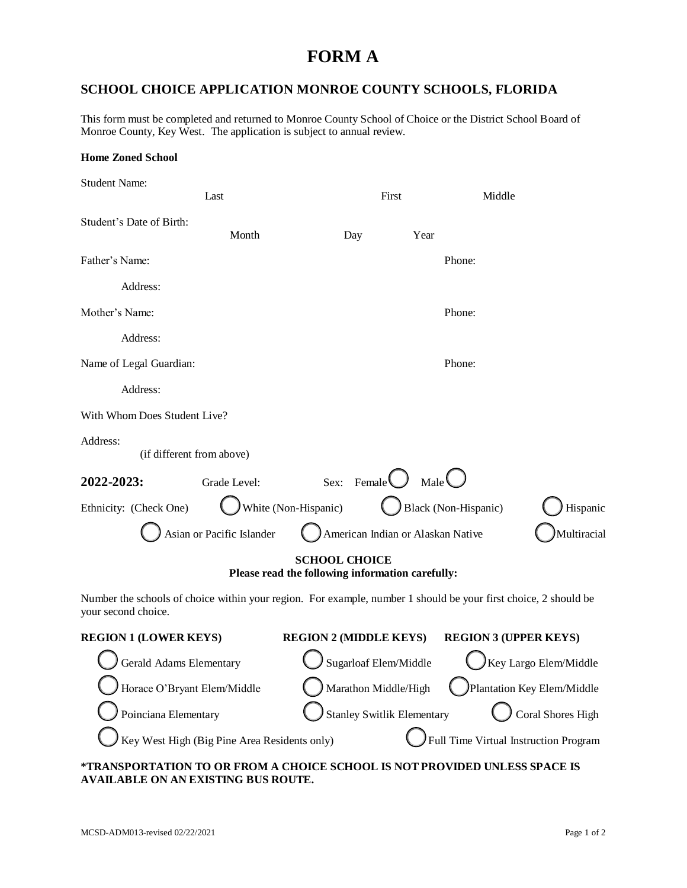## **FORM A**

## **SCHOOL CHOICE APPLICATION MONROE COUNTY SCHOOLS, FLORIDA**

This form must be completed and returned to Monroe County School of Choice or the District School Board of Monroe County, Key West. The application is subject to annual review.

| <b>Home Zoned School</b>                                                                                                               |                           |                                   |                                   |                   |                                  |  |  |
|----------------------------------------------------------------------------------------------------------------------------------------|---------------------------|-----------------------------------|-----------------------------------|-------------------|----------------------------------|--|--|
| <b>Student Name:</b>                                                                                                                   | Last                      |                                   | First                             |                   | Middle                           |  |  |
| Student's Date of Birth:                                                                                                               | Month                     |                                   | Day                               | Year              |                                  |  |  |
| Father's Name:                                                                                                                         |                           |                                   |                                   |                   | Phone:                           |  |  |
| Address:                                                                                                                               |                           |                                   |                                   |                   |                                  |  |  |
| Mother's Name:                                                                                                                         |                           |                                   |                                   |                   | Phone:                           |  |  |
| Address:                                                                                                                               |                           |                                   |                                   |                   |                                  |  |  |
| Name of Legal Guardian:                                                                                                                |                           |                                   |                                   |                   | Phone:                           |  |  |
| Address:                                                                                                                               |                           |                                   |                                   |                   |                                  |  |  |
| With Whom Does Student Live?                                                                                                           |                           |                                   |                                   |                   |                                  |  |  |
| Address:<br>(if different from above)                                                                                                  |                           |                                   |                                   |                   |                                  |  |  |
| 2022-2023:                                                                                                                             | Grade Level:              |                                   | Sex: Female $\bigcup$             | Male $\bigcup$    |                                  |  |  |
| Ethnicity: (Check One)                                                                                                                 |                           | White (Non-Hispanic)              |                                   |                   | Black (Non-Hispanic)<br>Hispanic |  |  |
|                                                                                                                                        | Asian or Pacific Islander |                                   | American Indian or Alaskan Native |                   | Multiracial                      |  |  |
| <b>SCHOOL CHOICE</b><br>Please read the following information carefully:                                                               |                           |                                   |                                   |                   |                                  |  |  |
| Number the schools of choice within your region. For example, number 1 should be your first choice, 2 should be<br>your second choice. |                           |                                   |                                   |                   |                                  |  |  |
| <b>REGION 1 (LOWER KEYS)</b>                                                                                                           |                           | <b>REGION 2 (MIDDLE KEYS)</b>     |                                   |                   | <b>REGION 3 (UPPER KEYS)</b>     |  |  |
| Gerald Adams Elementary                                                                                                                |                           | Sugarloaf Elem/Middle             |                                   |                   | Key Largo Elem/Middle            |  |  |
| Horace O'Bryant Elem/Middle                                                                                                            |                           | Marathon Middle/High              |                                   |                   | Plantation Key Elem/Middle       |  |  |
| Poinciana Elementary                                                                                                                   |                           | <b>Stanley Switlik Elementary</b> |                                   | Coral Shores High |                                  |  |  |
| Key West High (Big Pine Area Residents only)<br>Full Time Virtual Instruction Program                                                  |                           |                                   |                                   |                   |                                  |  |  |

**\*TRANSPORTATION TO OR FROM A CHOICE SCHOOL IS NOT PROVIDED UNLESS SPACE IS AVAILABLE ON AN EXISTING BUS ROUTE.**